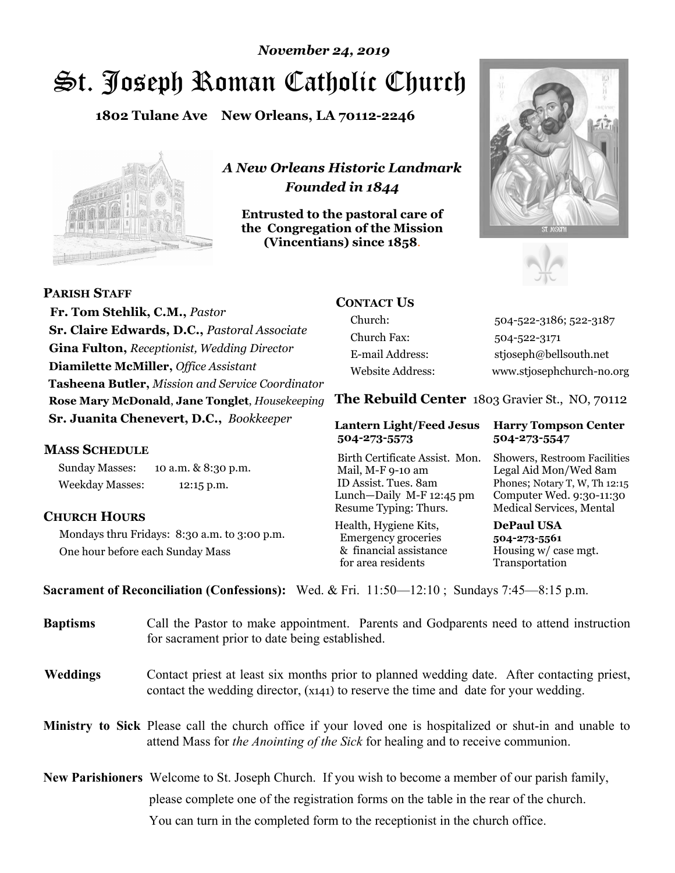# St. Joseph Roman Catholic Church *November 24, 2019*

**1802 Tulane Ave New Orleans, LA 70112-2246**



*A New Orleans Historic Landmark Founded in 1844* 

**Entrusted to the pastoral care of the Congregation of the Mission (Vincentians) since 1858**.





 **Fr. Tom Stehlik, C.M.,** *Pastor* **Sr. Claire Edwards, D.C.,** *Pastoral Associate* **Gina Fulton,** *Receptionist, Wedding Director* **Diamilette McMiller,** *Office Assistant* **Tasheena Butler,** *Mission and Service Coordinator* **Rose Mary McDonald**, **Jane Tonglet**, *Housekeeping* **Sr. Juanita Chenevert, D.C.,** *Bookkeeper* 

### **MASS SCHEDULE**

**PARISH STAFF**

Sunday Masses: 10 a.m. & 8:30 p.m. Weekday Masses: 12:15 p.m.

#### **CHURCH HOURS**

Mondays thru Fridays: 8:30 a.m. to 3:00 p.m. One hour before each Sunday Mass

## **CONTACT US**

Church: 504-522-3186; 522-3187 Church Fax: 504-522-3171 E-mail Address: stjoseph@bellsouth.net Website Address: www.stjosephchurch-no.org

**The Rebuild Center** 1803 Gravier St., NO, 70112

#### **Lantern Light/Feed Jesus Harry Tompson Center 504-273-5573 504-273-5547**

Birth Certificate Assist. Mon. Showers, Restroom Facilities Mail, M-F 9-10 am Legal Aid Mon/Wed 8am ID Assist. Tues. 8am Phones; Notary T, W, Th 12:15 Lunch—Daily M-F 12:45 pm Computer Wed. 9:30-11:30 Resume Typing: Thurs. Medical Services, Mental

Health, Hygiene Kits, **DePaul USA**  Emergency groceries **504-273-5561** & financial assistance Housing w/ case mgt. for area residents Transportation

**Sacrament of Reconciliation (Confessions):** Wed. & Fri. 11:50—12:10 ; Sundays 7:45—8:15 p.m.

| <b>Baptisms</b> | Call the Pastor to make appointment. Parents and Godparents need to attend instruction<br>for sacrament prior to date being established.                                                            |  |
|-----------------|-----------------------------------------------------------------------------------------------------------------------------------------------------------------------------------------------------|--|
| <b>Weddings</b> | Contact priest at least six months prior to planned wedding date. After contacting priest,<br>contact the wedding director, (x141) to reserve the time and date for your wedding.                   |  |
|                 | <b>Ministry to Sick</b> Please call the church office if your loved one is hospitalized or shut-in and unable to<br>attend Mass for the Anointing of the Sick for healing and to receive communion. |  |
|                 | New Parishioners Welcome to St. Joseph Church. If you wish to become a member of our parish family,                                                                                                 |  |
|                 | please complete one of the registration forms on the table in the rear of the church.                                                                                                               |  |
|                 | You can turn in the completed form to the reception is the church office.                                                                                                                           |  |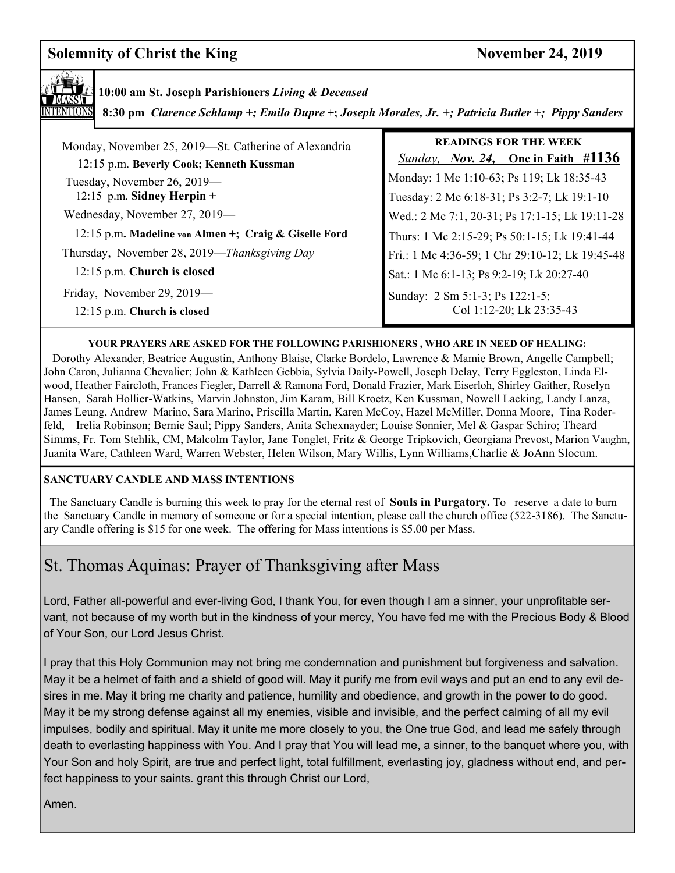## **Solemnity of Christ the King November 24, 2019**



**10:00 am St. Joseph Parishioners** *Living & Deceased* 

 **8:30 pm** *Clarence Schlamp +; Emilo Dupre* **+;** *Joseph Morales, Jr. +; Patricia Butler +; Pippy Sanders*

| Monday, November 25, 2019—St. Catherine of Alexandria<br>12:15 p.m. Beverly Cook; Kenneth Kussman | <b>READINGS FOR THE WEEK</b><br><i>Sunday, Nov. 24,</i> One in Faith $\#1136$            |
|---------------------------------------------------------------------------------------------------|------------------------------------------------------------------------------------------|
| Tuesday, November 26, 2019—<br>12:15 p.m. Sidney Herpin $+$                                       | Monday: 1 Mc 1:10-63; Ps 119; Lk 18:35-43<br>Tuesday: 2 Mc 6:18-31; Ps 3:2-7; Lk 19:1-10 |
| Wednesday, November 27, 2019—                                                                     | Wed.: 2 Mc 7:1, 20-31; Ps 17:1-15; Lk 19:11-28                                           |
| 12:15 p.m. Madeline von Almen +; Craig & Giselle Ford                                             | Thurs: 1 Mc 2:15-29; Ps 50:1-15; Lk 19:41-44                                             |
| Thursday, November 28, 2019—Thanksgiving Day                                                      | Fri.: 1 Mc 4:36-59; 1 Chr 29:10-12; Lk 19:45-48                                          |
| 12:15 p.m. Church is closed                                                                       | Sat.: 1 Mc 6:1-13; Ps 9:2-19; Lk 20:27-40                                                |
| Friday, November 29, 2019—<br>12:15 p.m. Church is closed                                         | Sunday: 2 Sm 5:1-3; Ps 122:1-5;<br>Col 1:12-20; Lk 23:35-43                              |

#### **YOUR PRAYERS ARE ASKED FOR THE FOLLOWING PARISHIONERS , WHO ARE IN NEED OF HEALING:**

 Dorothy Alexander, Beatrice Augustin, Anthony Blaise, Clarke Bordelo, Lawrence & Mamie Brown, Angelle Campbell; John Caron, Julianna Chevalier; John & Kathleen Gebbia, Sylvia Daily-Powell, Joseph Delay, Terry Eggleston, Linda Elwood, Heather Faircloth, Frances Fiegler, Darrell & Ramona Ford, Donald Frazier, Mark Eiserloh, Shirley Gaither, Roselyn Hansen, Sarah Hollier-Watkins, Marvin Johnston, Jim Karam, Bill Kroetz, Ken Kussman, Nowell Lacking, Landy Lanza, James Leung, Andrew Marino, Sara Marino, Priscilla Martin, Karen McCoy, Hazel McMiller, Donna Moore, Tina Roderfeld, Irelia Robinson; Bernie Saul; Pippy Sanders, Anita Schexnayder; Louise Sonnier, Mel & Gaspar Schiro; Theard Simms, Fr. Tom Stehlik, CM, Malcolm Taylor, Jane Tonglet, Fritz & George Tripkovich, Georgiana Prevost, Marion Vaughn, Juanita Ware, Cathleen Ward, Warren Webster, Helen Wilson, Mary Willis, Lynn Williams,Charlie & JoAnn Slocum.

#### **SANCTUARY CANDLE AND MASS INTENTIONS**

 The Sanctuary Candle is burning this week to pray for the eternal rest of **Souls in Purgatory.** To reserve a date to burn the Sanctuary Candle in memory of someone or for a special intention, please call the church office (522-3186). The Sanctuary Candle offering is \$15 for one week. The offering for Mass intentions is \$5.00 per Mass.

## St. Thomas Aquinas: Prayer of Thanksgiving after Mass

Lord, Father all-powerful and ever-living God, I thank You, for even though I am a sinner, your unprofitable servant, not because of my worth but in the kindness of your mercy, You have fed me with the Precious Body & Blood of Your Son, our Lord Jesus Christ.

I pray that this Holy Communion may not bring me condemnation and punishment but forgiveness and salvation. May it be a helmet of faith and a shield of good will. May it purify me from evil ways and put an end to any evil desires in me. May it bring me charity and patience, humility and obedience, and growth in the power to do good. May it be my strong defense against all my enemies, visible and invisible, and the perfect calming of all my evil impulses, bodily and spiritual. May it unite me more closely to you, the One true God, and lead me safely through death to everlasting happiness with You. And I pray that You will lead me, a sinner, to the banquet where you, with Your Son and holy Spirit, are true and perfect light, total fulfillment, everlasting joy, gladness without end, and perfect happiness to your saints. grant this through Christ our Lord,

Amen.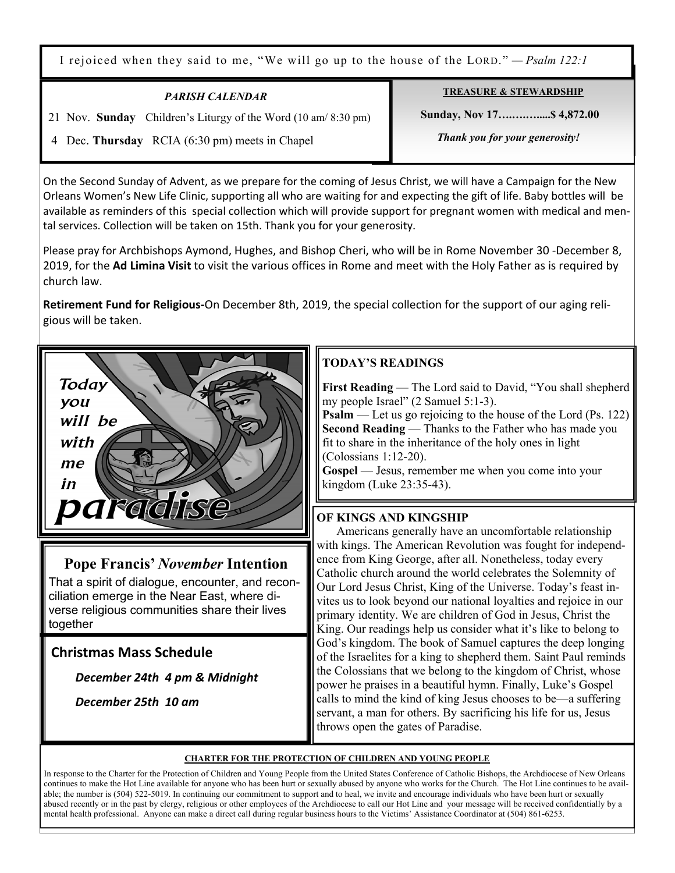I rejoiced when they said to me, "We will go up to the house of the LORD." *— Psalm 122:1*

| <b>PARISH CALENDAR</b>                                         | <b>TREASURE &amp; STEWARDSHIP</b> |
|----------------------------------------------------------------|-----------------------------------|
| 21 Nov. Sunday Children's Liturgy of the Word (10 am/ 8:30 pm) | Sunday, Nov 17 \$4,872.00         |
| 4 Dec. Thursday RCIA (6:30 pm) meets in Chapel                 | Thank you for your generosity!    |

On the Second Sunday of Advent, as we prepare for the coming of Jesus Christ, we will have a Campaign for the New Orleans Women's New Life Clinic, supporting all who are waiting for and expecting the gift of life. Baby bottles will be available as reminders of this special collection which will provide support for pregnant women with medical and mental services. Collection will be taken on 15th. Thank you for your generosity.

Please pray for Archbishops Aymond, Hughes, and Bishop Cheri, who will be in Rome November 30 -December 8, 2019, for the **Ad Limina Visit** to visit the various offices in Rome and meet with the Holy Father as is required by church law.

**Retirement Fund for Religious-**On December 8th, 2019, the special collection for the support of our aging religious will be taken.



## **Pope Francis'** *November* **Intention**

That a spirit of dialogue, encounter, and reconciliation emerge in the Near East, where diverse religious communities share their lives together

## **Christmas Mass Schedule**

 *December 24th 4 pm & Midnight* 

*December 25th 10 am*

## **TODAY'S READINGS**

**First Reading** — The Lord said to David, "You shall shepherd my people Israel" (2 Samuel 5:1-3).

**Psalm** — Let us go rejoicing to the house of the Lord (Ps. 122) **Second Reading** — Thanks to the Father who has made you fit to share in the inheritance of the holy ones in light (Colossians 1:12-20).

**Gospel** — Jesus, remember me when you come into your kingdom (Luke 23:35-43).

## **OF KINGS AND KINGSHIP**

 Americans generally have an uncomfortable relationship with kings. The American Revolution was fought for independence from King George, after all. Nonetheless, today every Catholic church around the world celebrates the Solemnity of Our Lord Jesus Christ, King of the Universe. Today's feast invites us to look beyond our national loyalties and rejoice in our primary identity. We are children of God in Jesus, Christ the King. Our readings help us consider what it's like to belong to God's kingdom. The book of Samuel captures the deep longing of the Israelites for a king to shepherd them. Saint Paul reminds the Colossians that we belong to the kingdom of Christ, whose power he praises in a beautiful hymn. Finally, Luke's Gospel calls to mind the kind of king Jesus chooses to be—a suffering servant, a man for others. By sacrificing his life for us, Jesus throws open the gates of Paradise.

#### **CHARTER FOR THE PROTECTION OF CHILDREN AND YOUNG PEOPLE**

In response to the Charter for the Protection of Children and Young People from the United States Conference of Catholic Bishops, the Archdiocese of New Orleans continues to make the Hot Line available for anyone who has been hurt or sexually abused by anyone who works for the Church. The Hot Line continues to be available; the number is (504) 522-5019. In continuing our commitment to support and to heal, we invite and encourage individuals who have been hurt or sexually abused recently or in the past by clergy, religious or other employees of the Archdiocese to call our Hot Line and your message will be received confidentially by a mental health professional. Anyone can make a direct call during regular business hours to the Victims' Assistance Coordinator at (504) 861-6253.